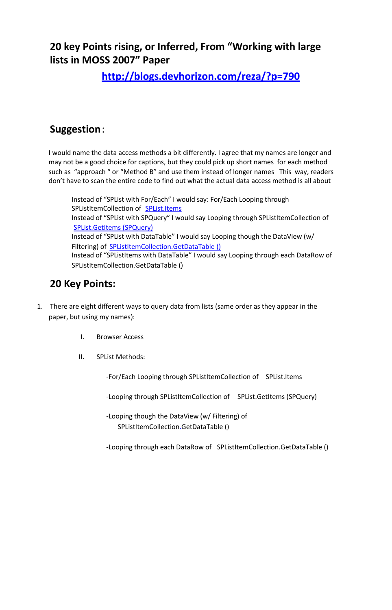**20 key Points rising, or Inferred, From "Working with large lists in MOSS 2007" Paper**

**<http://blogs.devhorizon.com/reza/?p=790>**

## **Suggestion**:

I would name the data access methods a bit differently. I agree that my names are longer and may not be a good choice for captions, but they could pick up short names for each method such as "approach " or "Method B" and use them instead of longer names This way, readers don't have to scan the entire code to find out what the actual data access method is all about

Instead of "SPList with For/Each" I would say: For/Each Looping through SPListItemCollection of **[SPList.Items](http://msdn.microsoft.com/en-us/library/microsoft.sharepoint.splist.items.aspx)** Instead of "SPList with SPQuery" I would say Looping through SPListItemCollection of [SPList.GetItems \(SPQuery\)](http://msdn.microsoft.com/en-us/library/ms457534.aspx) Instead of "SPList with DataTable" I would say Looping though the DataView (w/ Filtering) of **[SPListItemCollection.GetDataTable \(\)](http://msdn.microsoft.com/en-us/library/microsoft.sharepoint.splistitemcollection.getdatatable.aspx)** Instead of "SPListItems with DataTable" I would say Looping through each DataRow of SPListItemCollection.GetDataTable ()

## **20 Key Points:**

- 1. There are eight different ways to query data from lists (same order as they appear in the paper, but using my names):
	- I. Browser Access
	- II. SPList Methods:

-For/Each Looping through SPListItemCollection of SPList.Items

-Looping through SPListItemCollection of SPList.GetItems (SPQuery)

-Looping though the DataView (w/ Filtering) of SPListItemCollection.GetDataTable ()

-Looping through each DataRow of SPListItemCollection.GetDataTable ()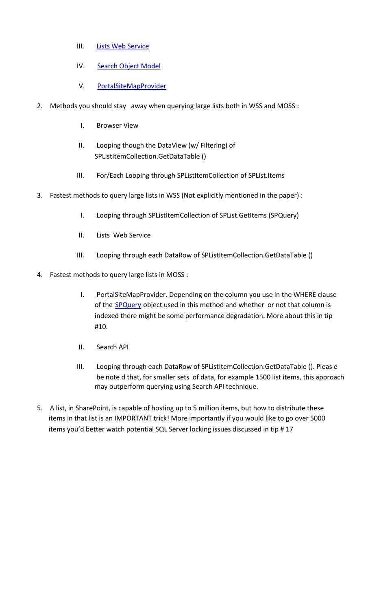- III. [Lists Web Service](http://msdn.microsoft.com/en-us/library/lists.aspx)
- IV. [Search Object Model](http://msdn.microsoft.com/en-us/library/ms455094.aspx)
- V. [PortalSiteMapProvider](http://msdn.microsoft.com/en-us/library/microsoft.sharepoint.publishing.navigation.portalsitemapprovider.aspx)
- 2. Methods you should stay away when querying large lists both in WSS and MOSS :
	- I. Browser View
	- II. Looping though the DataView (w/ Filtering) of SPListItemCollection.GetDataTable ()
	- III. For/Each Looping through SPListItemCollection of SPList.Items
- 3. Fastest methods to query large lists in WSS (Not explicitly mentioned in the paper) :
	- I. Looping through SPListItemCollection of SPList.GetItems (SPQuery)
	- II. Lists Web Service
	- III. Looping through each DataRow of SPListItemCollection.GetDataTable ()
- 4. Fastest methods to query large lists in MOSS :
	- I. PortalSiteMapProvider. Depending on the column you use in the WHERE clause of the **SPQuery** object used in this method and whether or not that column is indexed there might be some performance degradation. More about this in tip #10.
	- II. Search API
	- III. Looping through each DataRow of SPListItemCollection.GetDataTable (). Pleas e be note d that, for smaller sets of data, for example 1500 list items, this approach may outperform querying using Search API technique.
- 5. A list, in SharePoint, is capable of hosting up to 5 million items, but how to distribute these items in that list is an IMPORTANT trick! More importantly if you would like to go over 5000 items you'd better watch potential SQL Server locking issues discussed in tip # 17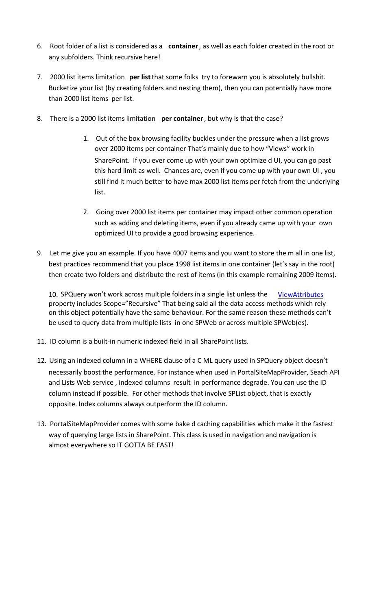- 6. Root folder of a list is considered as a **container**, as well as each folder created in the root or any subfolders. Think recursive here!
- 7. 2000 list items limitation **per list**that some folks try to forewarn you is absolutely bullshit. Bucketize your list (by creating folders and nesting them), then you can potentially have more than 2000 list items per list.
- 8. There is a 2000 list items limitation **per container**, but why is that the case?
	- 1. Out of the box browsing facility buckles under the pressure when a list grows over 2000 items per container That's mainly due to how "Views" work in SharePoint. If you ever come up with your own optimize d UI, you can go past this hard limit as well. Chances are, even if you come up with your own UI , you still find it much better to have max 2000 list items per fetch from the underlying list.
	- 2. Going over 2000 list items per container may impact other common operation such as adding and deleting items, even if you already came up with your own optimized UI to provide a good browsing experience.
- 9. Let me give you an example. If you have 4007 items and you want to store the m all in one list, best practices recommend that you place 1998 list items in one container (let's say in the root) then create two folders and distribute the rest of items (in this example remaining 2009 items).

10. SPQuery won't work across multiple folders in a single list unless the [ViewAttributes](http://msdn.microsoft.com/en-us/library/microsoft.sharepoint.publishing.navigation.portalsitemapprovider.aspx) property includes Scope="Recursive" That being said all the data access methods which rely on this object potentially have the same behaviour. For the same reason these methods can't be used to query data from multiple lists in one SPWeb or across multiple SPWeb(es).

- 11. ID column is a built-in numeric indexed field in all SharePoint lists.
- 12. Using an indexed column in a WHERE clause of a C ML query used in SPQuery object doesn't necessarily boost the performance. For instance when used in PortalSiteMapProvider, Seach API and Lists Web service , indexed columns result in performance degrade. You can use the ID column instead if possible. For other methods that involve SPList object, that is exactly opposite. Index columns always outperform the ID column.
- 13. PortalSiteMapProvider comes with some bake d caching capabilities which make it the fastest way of querying large lists in SharePoint. This class is used in navigation and navigation is almost everywhere so IT GOTTA BE FAST!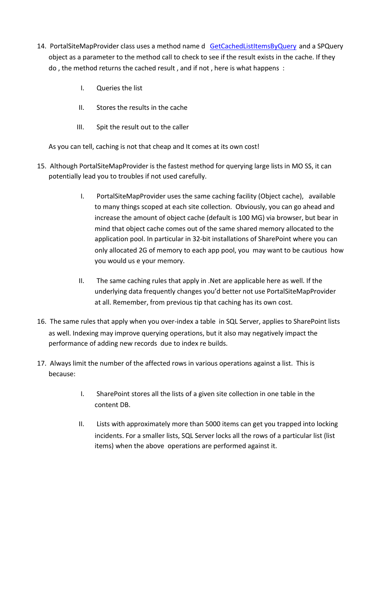- 14. PortalSiteMapProvider class uses a method name d [GetCachedListItemsByQuery](http://msdn.microsoft.com/en-us/library/microsoft.sharepoint.publishing.navigation.portalsitemapprovider.getcachedlistitemsbyquery.aspx) and a SPQuery object as a parameter to the method call to check to see if the result exists in the cache. If they do , the method returns the cached result , and if not , here is what happens :
	- I. Queries the list
	- II. Stores the results in the cache
	- III. Spit the result out to the caller

As you can tell, caching is not that cheap and It comes at its own cost!

- 15. Although PortalSiteMapProvider is the fastest method for querying large lists in MO SS, it can potentially lead you to troubles if not used carefully.
	- I. PortalSiteMapProvider uses the same caching facility (Object cache), available to many things scoped at each site collection. Obviously, you can go ahead and increase the amount of object cache (default is 100 MG) via browser, but bear in mind that object cache comes out of the same shared memory allocated to the application pool. In particular in 32-bit installations of SharePoint where you can only allocated 2G of memory to each app pool, you may want to be cautious how you would us e your memory.
	- II. The same caching rules that apply in .Net are applicable here as well. If the underlying data frequently changes you'd better not use PortalSiteMapProvider at all. Remember, from previous tip that caching has its own cost.
- 16. The same rules that apply when you over-index a table in SQL Server, applies to SharePoint lists as well. Indexing may improve querying operations, but it also may negatively impact the performance of adding new records due to index re builds.
- 17. Always limit the number of the affected rows in various operations against a list. This is because:
	- I. SharePoint stores all the lists of a given site collection in one table in the content DB.
	- II. Lists with approximately more than 5000 items can get you trapped into locking incidents. For a smaller lists, SQL Server locks all the rows of a particular list (list items) when the above operations are performed against it.